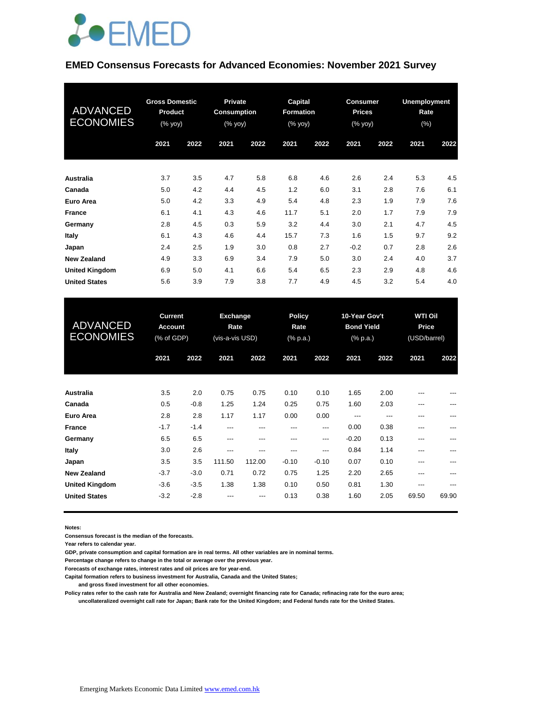

#### **EMED Consensus Forecasts for Advanced Economies: November 2021 Survey**

| <b>ADVANCED</b><br><b>ECONOMIES</b> | <b>Gross Domestic</b><br><b>Product</b><br>$(% \mathsf{Y}\rightarrow \mathsf{Y})$ (% $\mathsf{Y}\rightarrow \mathsf{Y}$ |      | <b>Private</b><br><b>Consumption</b><br>(% yoy) |      | Capital<br><b>Formation</b><br>(% yoy) |      | <b>Consumer</b><br><b>Prices</b><br>(% yoy) |      | <b>Unemployment</b><br>Rate<br>$(\%)$ |      |
|-------------------------------------|-------------------------------------------------------------------------------------------------------------------------|------|-------------------------------------------------|------|----------------------------------------|------|---------------------------------------------|------|---------------------------------------|------|
|                                     | 2021                                                                                                                    | 2022 | 2021                                            | 2022 | 2021                                   | 2022 | 2021                                        | 2022 | 2021                                  | 2022 |
| <b>Australia</b>                    | 3.7                                                                                                                     | 3.5  | 4.7                                             | 5.8  | 6.8                                    | 4.6  | 2.6                                         | 2.4  | 5.3                                   | 4.5  |
| Canada                              | 5.0                                                                                                                     | 4.2  | 4.4                                             | 4.5  | 1.2                                    | 6.0  | 3.1                                         | 2.8  | 7.6                                   | 6.1  |
| Euro Area                           | 5.0                                                                                                                     | 4.2  | 3.3                                             | 4.9  | 5.4                                    | 4.8  | 2.3                                         | 1.9  | 7.9                                   | 7.6  |
| <b>France</b>                       | 6.1                                                                                                                     | 4.1  | 4.3                                             | 4.6  | 11.7                                   | 5.1  | 2.0                                         | 1.7  | 7.9                                   | 7.9  |
| Germany                             | 2.8                                                                                                                     | 4.5  | 0.3                                             | 5.9  | 3.2                                    | 4.4  | 3.0                                         | 2.1  | 4.7                                   | 4.5  |
| Italy                               | 6.1                                                                                                                     | 4.3  | 4.6                                             | 4.4  | 15.7                                   | 7.3  | 1.6                                         | 1.5  | 9.7                                   | 9.2  |
| Japan                               | 2.4                                                                                                                     | 2.5  | 1.9                                             | 3.0  | 0.8                                    | 2.7  | $-0.2$                                      | 0.7  | 2.8                                   | 2.6  |
| <b>New Zealand</b>                  | 4.9                                                                                                                     | 3.3  | 6.9                                             | 3.4  | 7.9                                    | 5.0  | 3.0                                         | 2.4  | 4.0                                   | 3.7  |
| <b>United Kingdom</b>               | 6.9                                                                                                                     | 5.0  | 4.1                                             | 6.6  | 5.4                                    | 6.5  | 2.3                                         | 2.9  | 4.8                                   | 4.6  |
| <b>United States</b>                | 5.6                                                                                                                     | 3.9  | 7.9                                             | 3.8  | 7.7                                    | 4.9  | 4.5                                         | 3.2  | 5.4                                   | 4.0  |

| <b>ADVANCED</b><br><b>ECONOMIES</b> | <b>Current</b><br><b>Account</b><br>(% of GDP) |        | <b>Exchange</b><br>Rate<br>(vis-a-vis USD) |        |         | <b>Policy</b><br>Rate<br>(% p.a.) |         | 10-Year Gov't<br><b>Bond Yield</b><br>(% p.a.) |         | <b>WTI Oil</b><br>Price<br>(USD/barrel) |  |
|-------------------------------------|------------------------------------------------|--------|--------------------------------------------|--------|---------|-----------------------------------|---------|------------------------------------------------|---------|-----------------------------------------|--|
|                                     | 2021                                           | 2022   | 2021                                       | 2022   | 2021    | 2022                              | 2021    | 2022                                           | 2021    | 2022                                    |  |
| <b>Australia</b>                    | 3.5                                            | 2.0    | 0.75                                       | 0.75   | 0.10    | 0.10                              | 1.65    | 2.00                                           | $---$   | ---                                     |  |
| Canada                              | 0.5                                            | $-0.8$ | 1.25                                       | 1.24   | 0.25    | 0.75                              | 1.60    | 2.03                                           | ---     | ---                                     |  |
| Euro Area                           | 2.8                                            | 2.8    | 1.17                                       | 1.17   | 0.00    | 0.00                              | ---     | ---                                            | ---     | ---                                     |  |
| <b>France</b>                       | $-1.7$                                         | $-1.4$ | ---                                        | ---    | ---     | ---                               | 0.00    | 0.38                                           | ---     | ---                                     |  |
| Germany                             | 6.5                                            | 6.5    | ---                                        | ---    | ---     | ---                               | $-0.20$ | 0.13                                           | ---     | ---                                     |  |
| Italy                               | 3.0                                            | 2.6    | ---                                        | ---    | ---     | ---                               | 0.84    | 1.14                                           | $---$   | ---                                     |  |
| Japan                               | 3.5                                            | 3.5    | 111.50                                     | 112.00 | $-0.10$ | $-0.10$                           | 0.07    | 0.10                                           | ---     | ---                                     |  |
| <b>New Zealand</b>                  | $-3.7$                                         | $-3.0$ | 0.71                                       | 0.72   | 0.75    | 1.25                              | 2.20    | 2.65                                           | ---     |                                         |  |
| <b>United Kingdom</b>               | $-3.6$                                         | $-3.5$ | 1.38                                       | 1.38   | 0.10    | 0.50                              | 0.81    | 1.30                                           | $- - -$ | ---                                     |  |
| <b>United States</b>                | $-3.2$                                         | $-2.8$ | ---                                        | ---    | 0.13    | 0.38                              | 1.60    | 2.05                                           | 69.50   | 69.90                                   |  |

**Notes:** 

**Consensus forecast is the median of the forecasts.**

**Year refers to calendar year.**

**GDP, private consumption and capital formation are in real terms. All other variables are in nominal terms.**

**Percentage change refers to change in the total or average over the previous year.**

**Forecasts of exchange rates, interest rates and oil prices are for year-end.**

**Capital formation refers to business investment for Australia, Canada and the United States;**

 **and gross fixed investment for all other economies.**

**Policy rates refer to the cash rate for Australia and New Zealand; overnight financing rate for Canada; refinacing rate for the euro area; uncollateralized overnight call rate for Japan; Bank rate for the United Kingdom; and Federal funds rate for the United States.**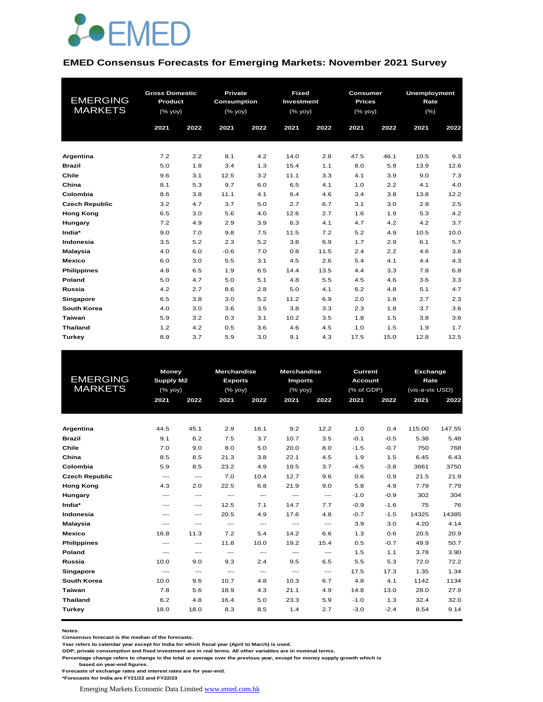

#### **EMED Consensus Forecasts for Emerging Markets: November 2021 Survey**

| <b>EMERGING</b><br><b>MARKETS</b> | <b>Gross Domestic</b><br>Product<br>(% yoy)<br>2021 | 2022 | <b>Private</b><br><b>Consumption</b><br>(% yoy)<br>2021 | 2022 | <b>Fixed</b><br>Investment<br>(% yoy)<br>2021 | 2022 | <b>Consumer</b><br><b>Prices</b><br>(% yoy)<br>2021 | 2022 | <b>Unemployment</b><br>Rate<br>(%)<br>2021 | 2022 |
|-----------------------------------|-----------------------------------------------------|------|---------------------------------------------------------|------|-----------------------------------------------|------|-----------------------------------------------------|------|--------------------------------------------|------|
| Argentina                         | 7.2                                                 | 2.2  | 8.1                                                     | 4.2  | 14.0                                          | 2.8  | 47.5                                                | 46.1 | 10.5                                       | 9.3  |
| <b>Brazil</b>                     | 5.0                                                 | 1.8  | 3.4                                                     | 1.3  | 15.4                                          | 1.1  | 8.0                                                 | 5.9  | 13.9                                       | 12.6 |
| Chile                             | 9.6                                                 | 3.1  | 12.5                                                    | 3.2  | 11.1                                          | 3.3  | 4.1                                                 | 3.9  | 9.0                                        | 7.3  |
| China                             | 8.1                                                 | 5.3  | 9.7                                                     | 6.0  | 6.5                                           | 4.1  | 1.0                                                 | 2.2  | 4.1                                        | 4.0  |
| Colombia                          | 8.6                                                 | 3.8  | 11.1                                                    | 4.1  | 6.4                                           | 4.6  | 3.4                                                 | 3.8  | 13.8                                       | 12.2 |
| <b>Czech Republic</b>             | 3.2                                                 | 4.7  | 3.7                                                     | 5.0  | 2.7                                           | 6.7  | 3.1                                                 | 3.0  | 2.9                                        | 2.5  |
| <b>Hong Kong</b>                  | 6.5                                                 | 3.0  | 5.6                                                     | 4.0  | 12.6                                          | 2.7  | 1.6                                                 | 1.9  | 5.3                                        | 4.2  |
| Hungary                           | 7.2                                                 | 4.9  | 2.9                                                     | 3.9  | 6.3                                           | 4.1  | 4.7                                                 | 4.2  | 4.2                                        | 3.7  |
| India*                            | 9.0                                                 | 7.0  | 9.8                                                     | 7.5  | 11.5                                          | 7.2  | 5.2                                                 | 4.9  | 10.5                                       | 10.0 |
| Indonesia                         | 3.5                                                 | 5.2  | 2.3                                                     | 5.2  | 3.8                                           | 6.9  | 1.7                                                 | 2.9  | 6.1                                        | 5.7  |
| <b>Malaysia</b>                   | 4.0                                                 | 6.0  | $-0.6$                                                  | 7.0  | 0.8                                           | 11.5 | 2.4                                                 | 2.2  | 4.6                                        | 3.8  |
| <b>Mexico</b>                     | 6.0                                                 | 3.0  | 5.5                                                     | 3.1  | 4.5                                           | 2.6  | 5.4                                                 | 4.1  | 4.4                                        | 4.3  |
| <b>Philippines</b>                | 4.8                                                 | 6.5  | 1.9                                                     | 6.5  | 14.4                                          | 13.5 | 4.4                                                 | 3.3  | 7.8                                        | 6.8  |
| Poland                            | 5.0                                                 | 4.7  | 5.0                                                     | 5.1  | 4.8                                           | 5.5  | 4.5                                                 | 4.6  | 3.6                                        | 3.3  |
| <b>Russia</b>                     | 4.2                                                 | 2.7  | 8.6                                                     | 2.8  | 5.0                                           | 4.1  | 6.2                                                 | 4.8  | 5.1                                        | 4.7  |
| <b>Singapore</b>                  | 6.5                                                 | 3.8  | 3.0                                                     | 5.2  | 11.2                                          | 6.9  | 2.0                                                 | 1.8  | 2.7                                        | 2.3  |
| South Korea                       | 4.0                                                 | 3.0  | 3.6                                                     | 3.5  | 3.8                                           | 3.3  | 2.3                                                 | 1.8  | 3.7                                        | 3.6  |
| Taiwan                            | 5.9                                                 | 3.2  | 0.3                                                     | 3.1  | 10.2                                          | 3.5  | 1.8                                                 | 1.5  | 3.8                                        | 3.6  |
| <b>Thailand</b>                   | 1.2                                                 | 4.2  | 0.5                                                     | 3.6  | 4.6                                           | 4.5  | 1.0                                                 | 1.5  | 1.9                                        | 1.7  |
| Turkey                            | 8.9                                                 | 3.7  | 5.9                                                     | 3.0  | 9.1                                           | 4.3  | 17.5                                                | 15.0 | 12.8                                       | 12.5 |

|                       | <b>Money</b>     |         | <b>Merchandise</b> |         | <b>Merchandise</b> |       |                | Current<br>Exchange |                                                                                                                    |       |  |  |
|-----------------------|------------------|---------|--------------------|---------|--------------------|-------|----------------|---------------------|--------------------------------------------------------------------------------------------------------------------|-------|--|--|
| <b>EMERGING</b>       | <b>Supply M2</b> |         | <b>Exports</b>     |         | <b>Imports</b>     |       | <b>Account</b> |                     | Rate<br>(vis-a-vis USD)<br>2021<br>2022<br>115.00<br>147.55<br>5.38<br>750<br>6.43<br>6.45<br>3661<br>3750<br>21.5 |       |  |  |
| <b>MARKETS</b>        |                  | (% yoy) |                    | (% yoy) | (% yoy)            |       | (% of GDP)     |                     |                                                                                                                    |       |  |  |
|                       | 2021             | 2022    | 2021               | 2022    | 2021               | 2022  | 2021           | 2022                |                                                                                                                    |       |  |  |
|                       |                  |         |                    |         |                    |       |                |                     |                                                                                                                    |       |  |  |
|                       |                  |         |                    |         |                    |       |                |                     |                                                                                                                    |       |  |  |
| Argentina             | 44.5             | 45.1    | 2.9                | 16.1    | 9.2                | 12.2  | 1.0            | 0.4                 |                                                                                                                    |       |  |  |
| <b>Brazil</b>         | 9.1              | 6.2     | 7.5                | 3.7     | 10.7               | 3.5   | $-0.1$         | $-0.5$              |                                                                                                                    | 5.48  |  |  |
| Chile                 | 7.0              | 9.0     | 8.0                | 5.0     | 20.0               | 8.0   | $-1.5$         | $-0.7$              |                                                                                                                    | 768   |  |  |
| China                 | 8.5              | 8.5     | 21.3               | 3.8     | 22.1               | 4.5   | 1.9            | 1.5                 |                                                                                                                    |       |  |  |
| Colombia              | 5.9              | 8.5     | 23.2               | 4.9     | 19.5               | 3.7   | $-4.5$         | $-3.8$              |                                                                                                                    |       |  |  |
| <b>Czech Republic</b> | $---$            | $---$   | 7.0                | 10.4    | 12.7               | 9.6   | 0.6            | 0.9                 |                                                                                                                    | 21.9  |  |  |
| <b>Hong Kong</b>      | 4.3              | 2.0     | 22.5               | 6.8     | 21.9               | 9.0   | 5.8            | 4.9                 | 7.79                                                                                                               | 7.79  |  |  |
| Hungary               | ---              | $---$   | $---$              | $---$   | $---$              | $---$ | $-1.0$         | $-0.9$              | 302                                                                                                                | 304   |  |  |
| India*                | ---              | $---$   | 12.5               | 7.1     | 14.7               | 7.7   | $-0.9$         | $-1.6$              | 75                                                                                                                 | 76    |  |  |
| Indonesia             | ---              | $---$   | 20.5               | 4.9     | 17.6               | 4.8   | $-0.7$         | $-1.5$              | 14325                                                                                                              | 14385 |  |  |
| <b>Malaysia</b>       | ---              | $---$   | $---$              | $---$   | $---$              | $---$ | 3.9            | 3.0                 | 4.20                                                                                                               | 4.14  |  |  |
| <b>Mexico</b>         | 16.8             | 11.3    | 7.2                | 5.4     | 14.2               | 6.6   | 1.3            | 0.6                 | 20.5                                                                                                               | 20.9  |  |  |
| <b>Philippines</b>    | ---              | $---$   | 11.8               | 10.0    | 19.2               | 15.4  | 0.5            | $-0.7$              | 49.9                                                                                                               | 50.7  |  |  |
| Poland                | ---              | $---$   | $---$              | $---$   | $---$              | $---$ | 1.5            | 1.1                 | 3.78                                                                                                               | 3.90  |  |  |
| Russia                | 10.0             | 9.0     | 9.3                | 2.4     | 9.5                | 6.5   | 5.5            | 5.3                 | 72.0                                                                                                               | 72.2  |  |  |
| <b>Singapore</b>      | $---$            | $---$   | $---$              | $---$   | $---$              | $---$ | 17.5           | 17.3                | 1.35                                                                                                               | 1.34  |  |  |
| South Korea           | 10.0             | 9.6     | 10.7               | 4.8     | 10.3               | 6.7   | 4.8            | 4.1                 | 1142                                                                                                               | 1134  |  |  |
| Taiwan                | 7.8              | 5.6     | 18.9               | 4.3     | 21.1               | 4.9   | 14.8           | 13.0                | 28.0                                                                                                               | 27.9  |  |  |
| <b>Thailand</b>       | 6.2              | 4.8     | 16.4               | 5.0     | 23.3               | 5.9   | $-1.0$         | 1.3                 | 32.4                                                                                                               | 32.0  |  |  |
| <b>Turkey</b>         | 18.0             | 18.0    | 8.3                | 8.5     | 1.4                | 2.7   | $-3.0$         | $-2.4$              | 8.54                                                                                                               | 9.14  |  |  |
|                       |                  |         |                    |         |                    |       |                |                     |                                                                                                                    |       |  |  |

**Notes:** 

**Consensus forecast is the median of the forecasts.**

**Year refers to calendar year except for India for which fiscal year (April to March) is used. GDP, private consumption and fixed investment are in real terms. All other variables are in nominal terms.**

**Percentage change refers to change in the total or average over the previous year, except for money supply growth which is** 

 **based on year-end figures. Forecasts of exchange rates and interest rates are for year-end.**

**\*Forecasts for India are FY21/22 and FY22/23**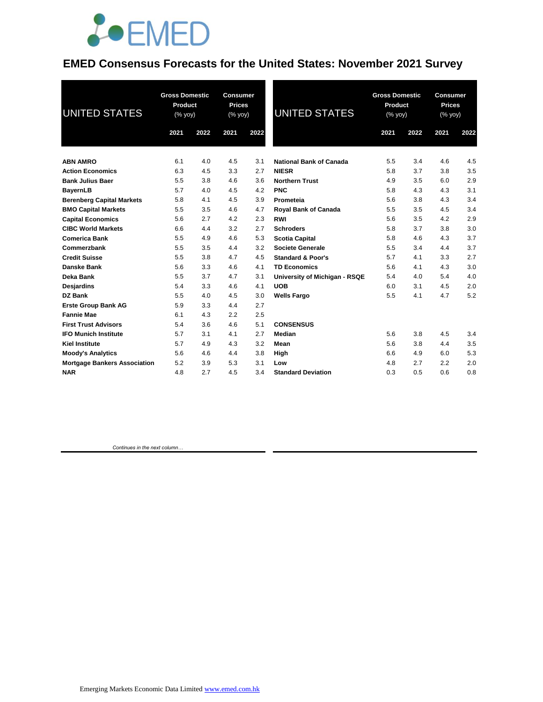

### **EMED Consensus Forecasts for the United States: November 2021 Survey**

| UNITED STATES                       | <b>Gross Domestic</b><br>Product<br>(% yoy) |      | <b>Consumer</b><br><b>Prices</b><br>(% yoy) |      | UNITED STATES                  | <b>Gross Domestic</b><br>Product<br>(% yoy) |      | <b>Consumer</b><br><b>Prices</b><br>(% yoy) |      |
|-------------------------------------|---------------------------------------------|------|---------------------------------------------|------|--------------------------------|---------------------------------------------|------|---------------------------------------------|------|
|                                     | 2021                                        | 2022 | 2021                                        | 2022 |                                | 2021                                        | 2022 | 2021                                        | 2022 |
| <b>ABN AMRO</b>                     | 6.1                                         | 4.0  | 4.5                                         | 3.1  | <b>National Bank of Canada</b> | 5.5                                         | 3.4  | 4.6                                         | 4.5  |
| <b>Action Economics</b>             | 6.3                                         | 4.5  | 3.3                                         | 2.7  | <b>NIESR</b>                   | 5.8                                         | 3.7  | 3.8                                         | 3.5  |
| <b>Bank Julius Baer</b>             | 5.5                                         | 3.8  | 4.6                                         | 3.6  | <b>Northern Trust</b>          | 4.9                                         | 3.5  | 6.0                                         | 2.9  |
| <b>BayernLB</b>                     | 5.7                                         | 4.0  | 4.5                                         | 4.2  | <b>PNC</b>                     | 5.8                                         | 4.3  | 4.3                                         | 3.1  |
| <b>Berenberg Capital Markets</b>    | 5.8                                         | 4.1  | 4.5                                         | 3.9  | Prometeia                      | 5.6                                         | 3.8  | 4.3                                         | 3.4  |
| <b>BMO Capital Markets</b>          | 5.5                                         | 3.5  | 4.6                                         | 4.7  | <b>Royal Bank of Canada</b>    | 5.5                                         | 3.5  | 4.5                                         | 3.4  |
| <b>Capital Economics</b>            | 5.6                                         | 2.7  | 4.2                                         | 2.3  | <b>RWI</b>                     | 5.6                                         | 3.5  | 4.2                                         | 2.9  |
| <b>CIBC World Markets</b>           | 6.6                                         | 4.4  | 3.2                                         | 2.7  | <b>Schroders</b>               | 5.8                                         | 3.7  | 3.8                                         | 3.0  |
| <b>Comerica Bank</b>                | 5.5                                         | 4.9  | 4.6                                         | 5.3  | <b>Scotia Capital</b>          | 5.8                                         | 4.6  | 4.3                                         | 3.7  |
| Commerzbank                         | 5.5                                         | 3.5  | 4.4                                         | 3.2  | <b>Societe Generale</b>        | 5.5                                         | 3.4  | 4.4                                         | 3.7  |
| <b>Credit Suisse</b>                | 5.5                                         | 3.8  | 4.7                                         | 4.5  | <b>Standard &amp; Poor's</b>   | 5.7                                         | 4.1  | 3.3                                         | 2.7  |
| Danske Bank                         | 5.6                                         | 3.3  | 4.6                                         | 4.1  | <b>TD Economics</b>            | 5.6                                         | 4.1  | 4.3                                         | 3.0  |
| Deka Bank                           | 5.5                                         | 3.7  | 4.7                                         | 3.1  | University of Michigan - RSQE  | 5.4                                         | 4.0  | 5.4                                         | 4.0  |
| Desjardins                          | 5.4                                         | 3.3  | 4.6                                         | 4.1  | <b>UOB</b>                     | 6.0                                         | 3.1  | 4.5                                         | 2.0  |
| DZ Bank                             | 5.5                                         | 4.0  | 4.5                                         | 3.0  | <b>Wells Fargo</b>             | 5.5                                         | 4.1  | 4.7                                         | 5.2  |
| <b>Erste Group Bank AG</b>          | 5.9                                         | 3.3  | 4.4                                         | 2.7  |                                |                                             |      |                                             |      |
| <b>Fannie Mae</b>                   | 6.1                                         | 4.3  | 2.2                                         | 2.5  |                                |                                             |      |                                             |      |
| <b>First Trust Advisors</b>         | 5.4                                         | 3.6  | 4.6                                         | 5.1  | <b>CONSENSUS</b>               |                                             |      |                                             |      |
| <b>IFO Munich Institute</b>         | 5.7                                         | 3.1  | 4.1                                         | 2.7  | Median                         | 5.6                                         | 3.8  | 4.5                                         | 3.4  |
| <b>Kiel Institute</b>               | 5.7                                         | 4.9  | 4.3                                         | 3.2  | Mean                           | 5.6                                         | 3.8  | 4.4                                         | 3.5  |
| <b>Moody's Analytics</b>            | 5.6                                         | 4.6  | 4.4                                         | 3.8  | High                           | 6.6                                         | 4.9  | 6.0                                         | 5.3  |
| <b>Mortgage Bankers Association</b> | 5.2                                         | 3.9  | 5.3                                         | 3.1  | Low                            | 4.8                                         | 2.7  | 2.2                                         | 2.0  |
| <b>NAR</b>                          | 4.8                                         | 2.7  | 4.5                                         | 3.4  | <b>Standard Deviation</b>      | 0.3                                         | 0.5  | 0.6                                         | 0.8  |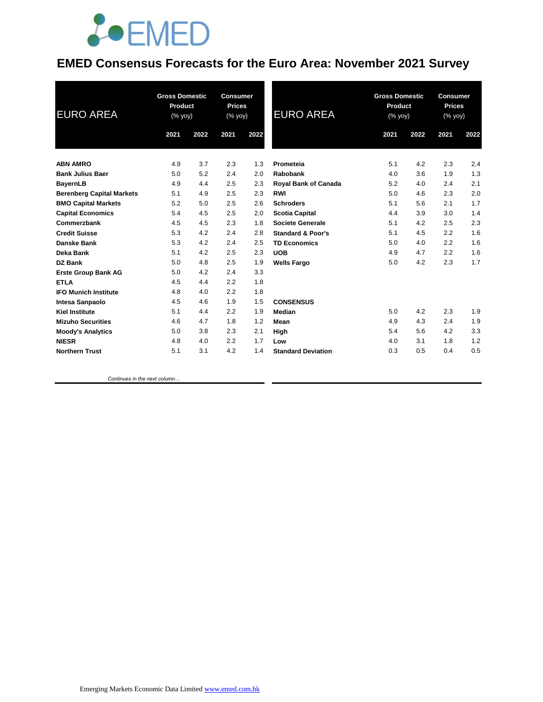

### **EMED Consensus Forecasts for the Euro Area: November 2021 Survey**

| <b>EURO AREA</b>                 | <b>Gross Domestic</b><br><b>Product</b><br>(% yoy) |      | <b>Consumer</b><br><b>Prices</b><br>(% yoy) |      | <b>EURO AREA</b>             | <b>Gross Domestic</b><br>Product<br>$(% \overline{y})$ (% yoy) |      | <b>Consumer</b><br><b>Prices</b><br>(% yoy) |      |
|----------------------------------|----------------------------------------------------|------|---------------------------------------------|------|------------------------------|----------------------------------------------------------------|------|---------------------------------------------|------|
|                                  | 2021                                               | 2022 | 2021                                        | 2022 |                              | 2021                                                           | 2022 | 2021                                        | 2022 |
| <b>ABN AMRO</b>                  | 4.9                                                | 3.7  | 2.3                                         | 1.3  | Prometeia                    | 5.1                                                            | 4.2  | 2.3                                         | 2.4  |
| <b>Bank Julius Baer</b>          | 5.0                                                | 5.2  | 2.4                                         | 2.0  | Rabobank                     | 4.0                                                            | 3.6  | 1.9                                         | 1.3  |
| <b>BayernLB</b>                  | 4.9                                                | 4.4  | 2.5                                         | 2.3  | Royal Bank of Canada         | 5.2                                                            | 4.0  | 2.4                                         | 2.1  |
| <b>Berenberg Capital Markets</b> | 5.1                                                | 4.9  | 2.5                                         | 2.3  | <b>RWI</b>                   | 5.0                                                            | 4.6  | 2.3                                         | 2.0  |
| <b>BMO Capital Markets</b>       | 5.2                                                | 5.0  | 2.5                                         | 2.6  | <b>Schroders</b>             | 5.1                                                            | 5.6  | 2.1                                         | 1.7  |
| <b>Capital Economics</b>         | 5.4                                                | 4.5  | 2.5                                         | 2.0  | <b>Scotia Capital</b>        | 4.4                                                            | 3.9  | 3.0                                         | 1.4  |
| Commerzbank                      | 4.5                                                | 4.5  | 2.3                                         | 1.8  | <b>Societe Generale</b>      | 5.1                                                            | 4.2  | 2.5                                         | 2.3  |
| <b>Credit Suisse</b>             | 5.3                                                | 4.2  | 2.4                                         | 2.8  | <b>Standard &amp; Poor's</b> | 5.1                                                            | 4.5  | 2.2                                         | 1.6  |
| Danske Bank                      | 5.3                                                | 4.2  | 2.4                                         | 2.5  | <b>TD Economics</b>          | 5.0                                                            | 4.0  | 2.2                                         | 1.6  |
| <b>Deka Bank</b>                 | 5.1                                                | 4.2  | 2.5                                         | 2.3  | <b>UOB</b>                   | 4.9                                                            | 4.7  | 2.2                                         | 1.6  |
| <b>DZ Bank</b>                   | 5.0                                                | 4.8  | 2.5                                         | 1.9  | <b>Wells Fargo</b>           | 5.0                                                            | 4.2  | 2.3                                         | 1.7  |
| <b>Erste Group Bank AG</b>       | 5.0                                                | 4.2  | 2.4                                         | 3.3  |                              |                                                                |      |                                             |      |
| <b>ETLA</b>                      | 4.5                                                | 4.4  | 2.2                                         | 1.8  |                              |                                                                |      |                                             |      |
| <b>IFO Munich Institute</b>      | 4.8                                                | 4.0  | 2.2                                         | 1.8  |                              |                                                                |      |                                             |      |
| Intesa Sanpaolo                  | 4.5                                                | 4.6  | 1.9                                         | 1.5  | <b>CONSENSUS</b>             |                                                                |      |                                             |      |
| <b>Kiel Institute</b>            | 5.1                                                | 4.4  | 2.2                                         | 1.9  | Median                       | 5.0                                                            | 4.2  | 2.3                                         | 1.9  |
| <b>Mizuho Securities</b>         | 4.6                                                | 4.7  | 1.8                                         | 1.2  | Mean                         | 4.9                                                            | 4.3  | 2.4                                         | 1.9  |
| <b>Moody's Analytics</b>         | 5.0                                                | 3.8  | 2.3                                         | 2.1  | High                         | 5.4                                                            | 5.6  | 4.2                                         | 3.3  |
| <b>NIESR</b>                     | 4.8                                                | 4.0  | 2.2                                         | 1.7  | Low                          | 4.0                                                            | 3.1  | 1.8                                         | 1.2  |
| <b>Northern Trust</b>            | 5.1                                                | 3.1  | 4.2                                         | 1.4  | <b>Standard Deviation</b>    | 0.3                                                            | 0.5  | 0.4                                         | 0.5  |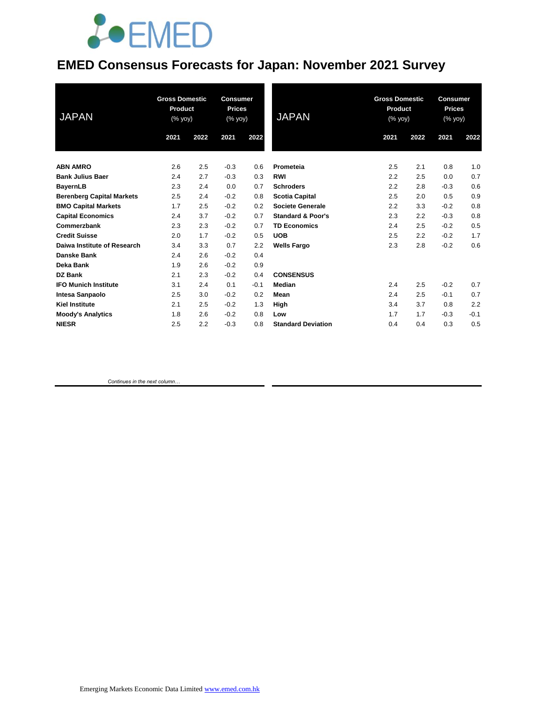# **JOEMED**

### **EMED Consensus Forecasts for Japan: November 2021 Survey**

| <b>JAPAN</b>                     | <b>Gross Domestic</b><br>Product<br>$(% \mathsf{Y}^{\prime }\mathsf{Y}^{\prime }\mathsf{Y}^{\prime })$ |      | <b>Consumer</b><br><b>Prices</b><br>(% yoy) |        | <b>JAPAN</b>                 | <b>Gross Domestic</b><br>Product<br>$(% \mathsf{Y}^{\prime }\mathsf{Y}^{\prime }\mathsf{Y}^{\prime })$ |      | <b>Consumer</b><br><b>Prices</b><br>(% yoy) |        |
|----------------------------------|--------------------------------------------------------------------------------------------------------|------|---------------------------------------------|--------|------------------------------|--------------------------------------------------------------------------------------------------------|------|---------------------------------------------|--------|
|                                  | 2021                                                                                                   | 2022 | 2021                                        | 2022   |                              | 2021                                                                                                   | 2022 | 2021                                        | 2022   |
| <b>ABN AMRO</b>                  | 2.6                                                                                                    | 2.5  | $-0.3$                                      | 0.6    | Prometeia                    | 2.5                                                                                                    | 2.1  | 0.8                                         | 1.0    |
| <b>Bank Julius Baer</b>          | 2.4                                                                                                    | 2.7  | $-0.3$                                      | 0.3    | <b>RWI</b>                   | 2.2                                                                                                    | 2.5  | 0.0                                         | 0.7    |
| <b>BayernLB</b>                  | 2.3                                                                                                    | 2.4  | 0.0                                         | 0.7    | <b>Schroders</b>             | 2.2                                                                                                    | 2.8  | $-0.3$                                      | 0.6    |
| <b>Berenberg Capital Markets</b> | 2.5                                                                                                    | 2.4  | $-0.2$                                      | 0.8    | <b>Scotia Capital</b>        | 2.5                                                                                                    | 2.0  | 0.5                                         | 0.9    |
| <b>BMO Capital Markets</b>       | 1.7                                                                                                    | 2.5  | $-0.2$                                      | 0.2    | Societe Generale             | 2.2                                                                                                    | 3.3  | $-0.2$                                      | 0.8    |
| <b>Capital Economics</b>         | 2.4                                                                                                    | 3.7  | $-0.2$                                      | 0.7    | <b>Standard &amp; Poor's</b> | 2.3                                                                                                    | 2.2  | $-0.3$                                      | 0.8    |
| Commerzbank                      | 2.3                                                                                                    | 2.3  | $-0.2$                                      | 0.7    | <b>TD Economics</b>          | 2.4                                                                                                    | 2.5  | $-0.2$                                      | 0.5    |
| <b>Credit Suisse</b>             | 2.0                                                                                                    | 1.7  | $-0.2$                                      | 0.5    | <b>UOB</b>                   | 2.5                                                                                                    | 2.2  | $-0.2$                                      | 1.7    |
| Daiwa Institute of Research      | 3.4                                                                                                    | 3.3  | 0.7                                         | 2.2    | <b>Wells Fargo</b>           | 2.3                                                                                                    | 2.8  | $-0.2$                                      | 0.6    |
| <b>Danske Bank</b>               | 2.4                                                                                                    | 2.6  | $-0.2$                                      | 0.4    |                              |                                                                                                        |      |                                             |        |
| Deka Bank                        | 1.9                                                                                                    | 2.6  | $-0.2$                                      | 0.9    |                              |                                                                                                        |      |                                             |        |
| <b>DZ Bank</b>                   | 2.1                                                                                                    | 2.3  | $-0.2$                                      | 0.4    | <b>CONSENSUS</b>             |                                                                                                        |      |                                             |        |
| <b>IFO Munich Institute</b>      | 3.1                                                                                                    | 2.4  | 0.1                                         | $-0.1$ | <b>Median</b>                | 2.4                                                                                                    | 2.5  | $-0.2$                                      | 0.7    |
| <b>Intesa Sanpaolo</b>           | 2.5                                                                                                    | 3.0  | $-0.2$                                      | 0.2    | Mean                         | 2.4                                                                                                    | 2.5  | $-0.1$                                      | 0.7    |
| <b>Kiel Institute</b>            | 2.1                                                                                                    | 2.5  | $-0.2$                                      | 1.3    | High                         | 3.4                                                                                                    | 3.7  | 0.8                                         | 2.2    |
| <b>Moody's Analytics</b>         | 1.8                                                                                                    | 2.6  | $-0.2$                                      | 0.8    | Low                          | 1.7                                                                                                    | 1.7  | $-0.3$                                      | $-0.1$ |
| <b>NIESR</b>                     | 2.5                                                                                                    | 2.2  | $-0.3$                                      | 0.8    | <b>Standard Deviation</b>    | 0.4                                                                                                    | 0.4  | 0.3                                         | 0.5    |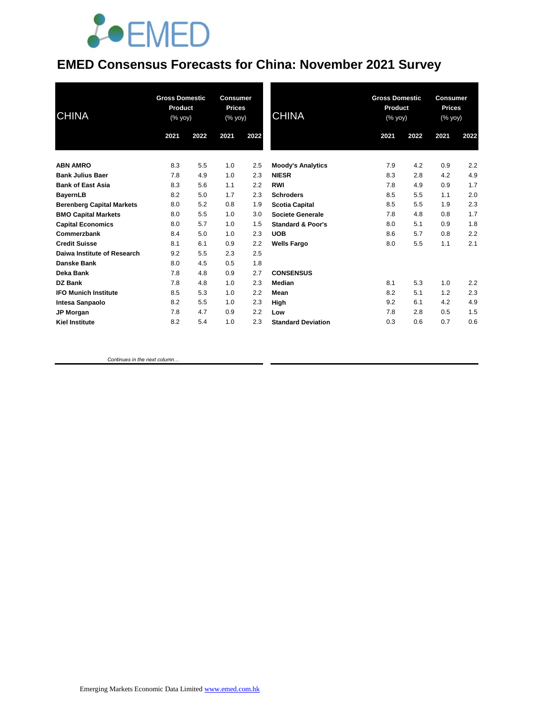# **JOEMED**

### **EMED Consensus Forecasts for China: November 2021 Survey**

| <b>CHINA</b>                     | <b>Gross Domestic</b><br>Product<br>(% yoy) |      | <b>Consumer</b><br><b>Prices</b><br>(% yoy) |      | <b>CHINA</b>                 |      | <b>Gross Domestic</b><br><b>Product</b><br>(% yoy) |      | Consumer<br><b>Prices</b><br>(% yoy) |  |
|----------------------------------|---------------------------------------------|------|---------------------------------------------|------|------------------------------|------|----------------------------------------------------|------|--------------------------------------|--|
|                                  | 2021                                        | 2022 | 2021                                        | 2022 |                              | 2021 | 2022                                               | 2021 | 2022                                 |  |
| <b>ABN AMRO</b>                  | 8.3                                         | 5.5  | 1.0                                         | 2.5  | <b>Moody's Analytics</b>     | 7.9  | 4.2                                                | 0.9  | 2.2                                  |  |
| <b>Bank Julius Baer</b>          | 7.8                                         | 4.9  | 1.0                                         | 2.3  | <b>NIESR</b>                 | 8.3  | 2.8                                                | 4.2  | 4.9                                  |  |
| <b>Bank of East Asia</b>         | 8.3                                         | 5.6  | 1.1                                         | 2.2  | <b>RWI</b>                   | 7.8  | 4.9                                                | 0.9  | 1.7                                  |  |
| <b>BayernLB</b>                  | 8.2                                         | 5.0  | 1.7                                         | 2.3  | <b>Schroders</b>             | 8.5  | 5.5                                                | 1.1  | 2.0                                  |  |
| <b>Berenberg Capital Markets</b> | 8.0                                         | 5.2  | 0.8                                         | 1.9  | <b>Scotia Capital</b>        | 8.5  | 5.5                                                | 1.9  | 2.3                                  |  |
| <b>BMO Capital Markets</b>       | 8.0                                         | 5.5  | 1.0                                         | 3.0  | Societe Generale             | 7.8  | 4.8                                                | 0.8  | 1.7                                  |  |
| <b>Capital Economics</b>         | 8.0                                         | 5.7  | 1.0                                         | 1.5  | <b>Standard &amp; Poor's</b> | 8.0  | 5.1                                                | 0.9  | 1.8                                  |  |
| Commerzbank                      | 8.4                                         | 5.0  | 1.0                                         | 2.3  | <b>UOB</b>                   | 8.6  | 5.7                                                | 0.8  | 2.2                                  |  |
| <b>Credit Suisse</b>             | 8.1                                         | 6.1  | 0.9                                         | 2.2  | <b>Wells Fargo</b>           | 8.0  | 5.5                                                | 1.1  | 2.1                                  |  |
| Daiwa Institute of Research      | 9.2                                         | 5.5  | 2.3                                         | 2.5  |                              |      |                                                    |      |                                      |  |
| Danske Bank                      | 8.0                                         | 4.5  | 0.5                                         | 1.8  |                              |      |                                                    |      |                                      |  |
| Deka Bank                        | 7.8                                         | 4.8  | 0.9                                         | 2.7  | <b>CONSENSUS</b>             |      |                                                    |      |                                      |  |
| DZ Bank                          | 7.8                                         | 4.8  | 1.0                                         | 2.3  | Median                       | 8.1  | 5.3                                                | 1.0  | 2.2                                  |  |
| <b>IFO Munich Institute</b>      | 8.5                                         | 5.3  | 1.0                                         | 2.2  | Mean                         | 8.2  | 5.1                                                | 1.2  | 2.3                                  |  |
| Intesa Sanpaolo                  | 8.2                                         | 5.5  | 1.0                                         | 2.3  | High                         | 9.2  | 6.1                                                | 4.2  | 4.9                                  |  |
| <b>JP Morgan</b>                 | 7.8                                         | 4.7  | 0.9                                         | 2.2  | Low                          | 7.8  | 2.8                                                | 0.5  | 1.5                                  |  |
| <b>Kiel Institute</b>            | 8.2                                         | 5.4  | 1.0                                         | 2.3  | <b>Standard Deviation</b>    | 0.3  | 0.6                                                | 0.7  | 0.6                                  |  |